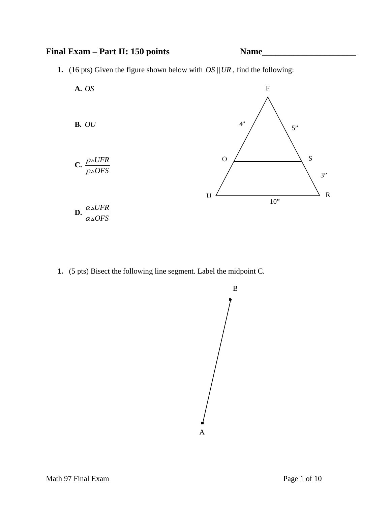## Final Exam – Part II: 150 points Name



**1.** (16 pts) Given the figure shown below with  $OS \parallel UR$ , find the following:



**1.** (5 pts) Bisect the following line segment. Label the midpoint C.

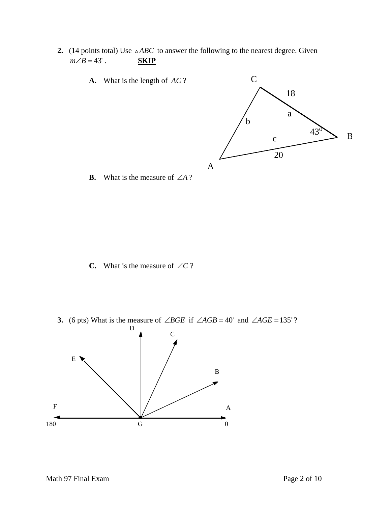**2.** (14 points total) Use  $\triangle ABC$  to answer the following to the nearest degree. Given  $m\angle B = 43^\circ$ . . **SKIP**



**C.** What is the measure of ∠*C* ?

**3.** (6 pts) What is the measure of ∠*BGE* if ∠*AGB* = 40° and ∠*AGE* = 135°?

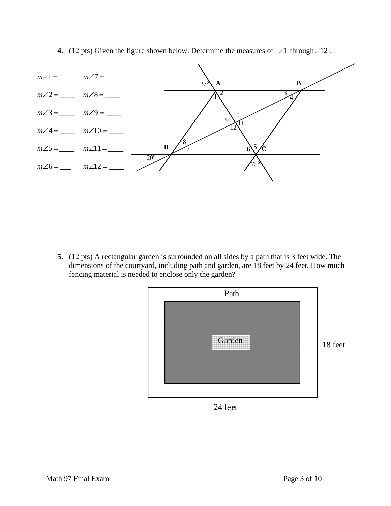**4.** (12 pts) Given the figure shown below. Determine the measures of ∠1 through∠12 .



**5.** (12 pts) A rectangular garden is surrounded on all sides by a path that is 3 feet wide. The dimensions of the courtyard, including path and garden, are 18 feet by 24 feet. How much fencing material is needed to enclose only the garden?



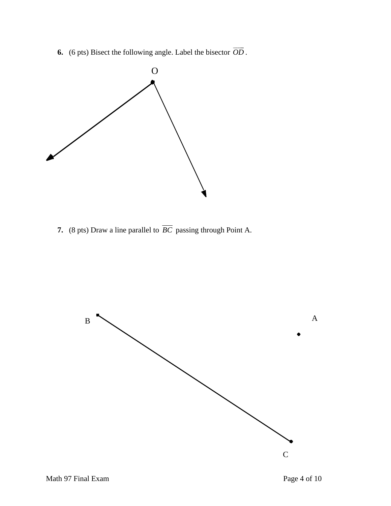**6.** (6 pts) Bisect the following angle. Label the bisector  $\overrightarrow{OD}$ .



**7.** (8 pts) Draw a line parallel to  $\overline{BC}$  passing through Point A.

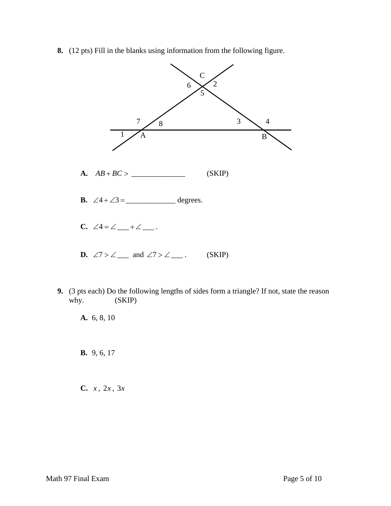**8.** (12 pts) Fill in the blanks using information from the following figure.



**9.** (3 pts each) Do the following lengths of sides form a triangle? If not, state the reason why. (SKIP)

**A.** 6, 8, 10

**B.** 9, 6, 17

**C.** *x* , 2*x* , 3*x*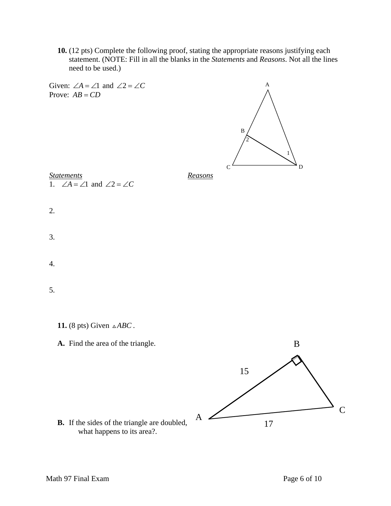**10.** (12 pts) Complete the following proof, stating the appropriate reasons justifying each statement. (NOTE: Fill in all the blanks in the *Statements* and *Reasons*. Not all the lines need to be used.)



A

**B.** If the sides of the triangle are doubled, what happens to its area?.

17

C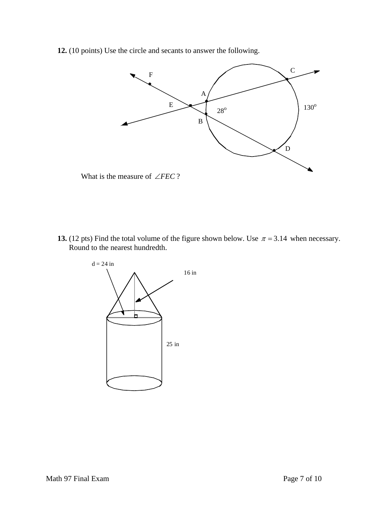**12.** (10 points) Use the circle and secants to answer the following.



What is the measure of ∠*FEC* ?

**13.** (12 pts) Find the total volume of the figure shown below. Use  $\pi = 3.14$  when necessary. Round to the nearest hundredth.

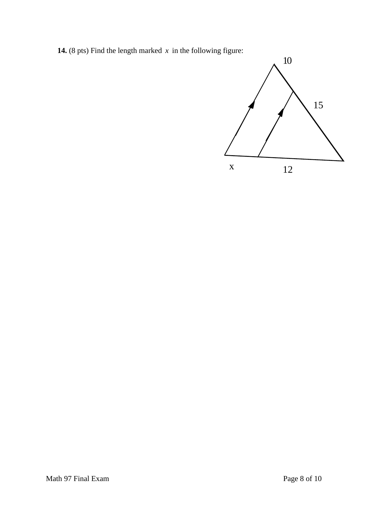**14.** (8 pts) Find the length marked  $x$  in the following figure:

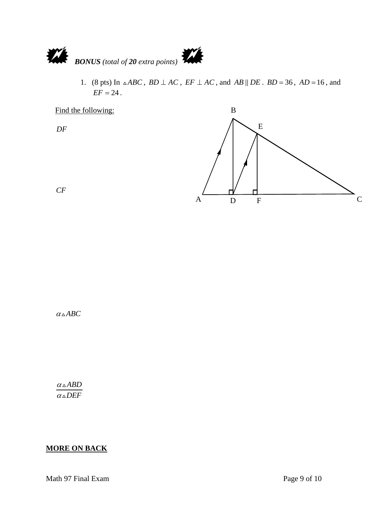

1. (8 pts) In  $\triangle ABC$ ,  $BD \perp AC$ ,  $EF \perp AC$ , and  $AB \parallel DE$ .  $BD = 36$ ,  $AD = 16$ , and  $EF = 24$ .



*CF*

 $\alpha \triangle ABC$ 

 $α$ <sub>Δ</sub>*ABD*  $\alpha \triangle DEF$ 

## **MORE ON BACK**

Math 97 Final Exam Page 9 of 10